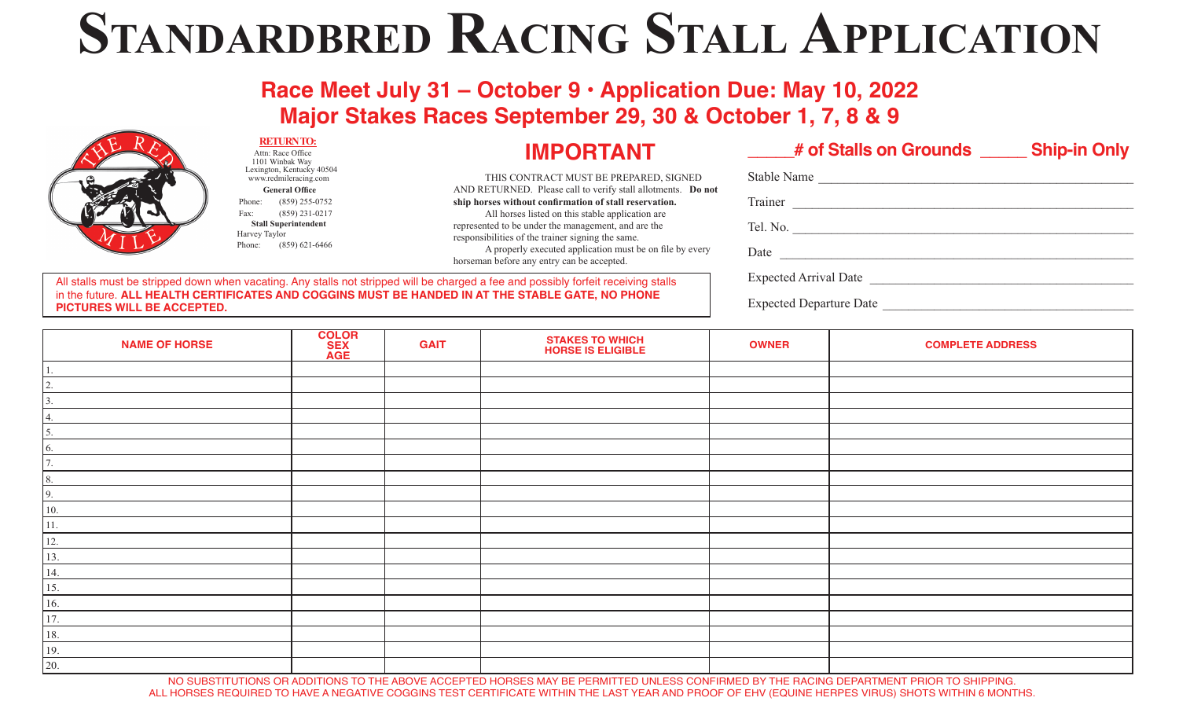# **Standardbred Racing Stall Application**

**Race Meet July 31 – October 9 • Application Due: May 10, 2022 Major Stakes Races September 29, 30 & October 1, 7, 8 & 9**



**NAME OF HORSE COLOR SEX AGE GAIT STAKES TO WHICH**<br> **HORSE IS ELIGIBLE HORSE IS ELIGYPTE ADDRESS** 1. 2. 3. 4. 5. 6. 7. 8. 9. 10. 11. 12. 13. 14. 15. 16. 17. 18. 19. 20.

NO SUBSTITUTIONS OR ADDITIONS TO THE ABOVE ACCEPTED HORSES MAY BE PERMITTED UNLESS CONFIRMED BY THE RACING DEPARTMENT PRIOR TO SHIPPING. ALL HORSES REQUIRED TO HAVE A NEGATIVE COGGINS TEST CERTIFICATE WITHIN THE LAST YEAR AND PROOF OF EHV (EQUINE HERPES VIRUS) SHOTS WITHIN 6 MONTHS.